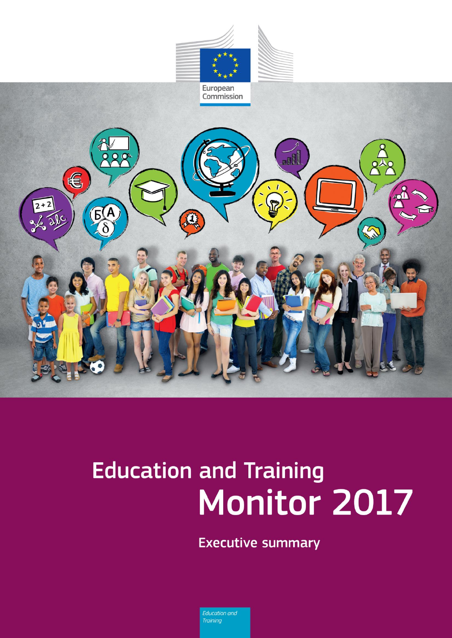

# **Education and Training** Monitor 2017

**Executive summary** 

Education and **Training**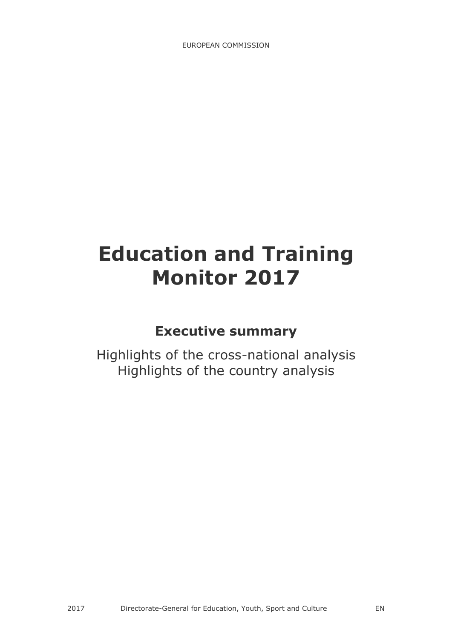## **Education and Training Monitor 2017**

## **Executive summary**

Highlights of the cross-national analysis Highlights of the country analysis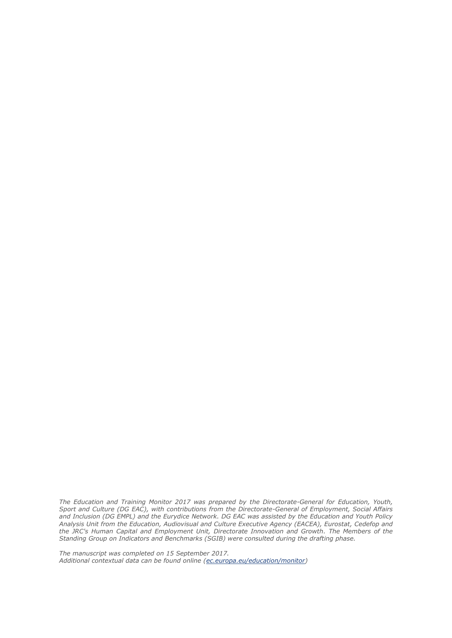*The Education and Training Monitor 2017 was prepared by the Directorate-General for Education, Youth, Sport and Culture (DG EAC), with contributions from the Directorate-General of Employment, Social Affairs and Inclusion (DG EMPL) and the Eurydice Network. DG EAC was assisted by the Education and Youth Policy Analysis Unit from the Education, Audiovisual and Culture Executive Agency (EACEA), Eurostat, Cedefop and the JRC's Human Capital and Employment Unit, Directorate Innovation and Growth. The Members of the Standing Group on Indicators and Benchmarks (SGIB) were consulted during the drafting phase.*

*The manuscript was completed on 15 September 2017. Additional contextual data can be found online [\(ec.europa.eu/education/monitor\)](http://ec.europa.eu/education/policy/strategic-framework/et-monitor_en)*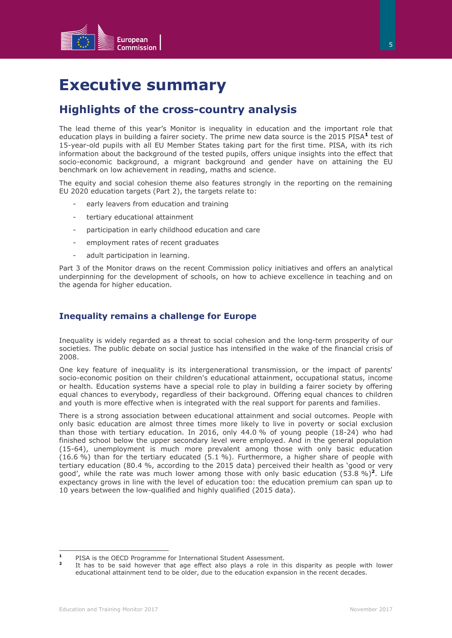![](_page_4_Picture_0.jpeg)

## **Executive summary**

#### **Highlights of the cross-country analysis**

The lead theme of this year's Monitor is inequality in education and the important role that education plays in building a fairer society. The prime new data source is the 2015 PISA<sup>1</sup> test of 15-year-old pupils with all EU Member States taking part for the first time. PISA, with its rich information about the background of the tested pupils, offers unique insights into the effect that socio-economic background, a migrant background and gender have on attaining the EU benchmark on low achievement in reading, maths and science.

The equity and social cohesion theme also features strongly in the reporting on the remaining EU 2020 education targets (Part 2), the targets relate to:

- early leavers from education and training
- tertiary educational attainment
- participation in early childhood education and care
- employment rates of recent graduates
- adult participation in learning.

Part 3 of the Monitor draws on the recent Commission policy initiatives and offers an analytical underpinning for the development of schools, on how to achieve excellence in teaching and on the agenda for higher education.

#### **Inequality remains a challenge for Europe**

Inequality is widely regarded as a threat to social cohesion and the long-term prosperity of our societies. The public debate on social justice has intensified in the wake of the financial crisis of 2008.

One key feature of inequality is its intergenerational transmission, or the impact of parents' socio-economic position on their children's educational attainment, occupational status, income or health. Education systems have a special role to play in building a fairer society by offering equal chances to everybody, regardless of their background. Offering equal chances to children and youth is more effective when is integrated with the real support for parents and families.

There is a strong association between educational attainment and social outcomes. People with only basic education are almost three times more likely to live in poverty or social exclusion than those with tertiary education. In 2016, only 44.0 % of young people (18-24) who had finished school below the upper secondary level were employed. And in the general population (15-64), unemployment is much more prevalent among those with only basic education (16.6 %) than for the tertiary educated (5.1 %). Furthermore, a higher share of people with tertiary education (80.4 %, according to the 2015 data) perceived their health as 'good or very good', while the rate was much lower among those with only basic education (53.8 %)**<sup>2</sup>** . Life expectancy grows in line with the level of education too: the education premium can span up to 10 years between the low-qualified and highly qualified (2015 data).

 $\mathbf{1}$ **<sup>1</sup>** PISA is the OECD Programme for International Student Assessment.

**<sup>2</sup>** It has to be said however that age effect also plays a role in this disparity as people with lower educational attainment tend to be older, due to the education expansion in the recent decades.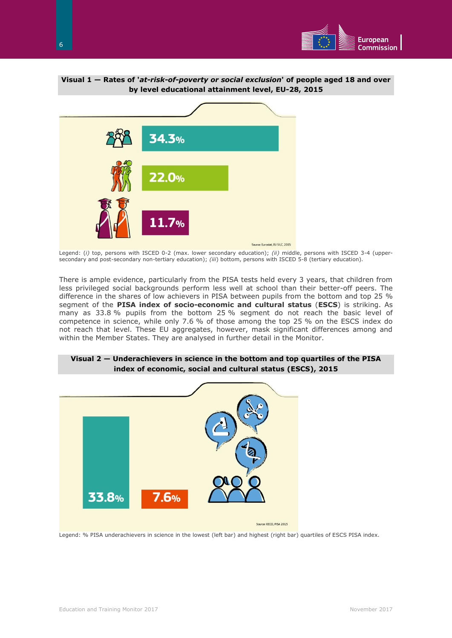![](_page_5_Picture_0.jpeg)

![](_page_5_Figure_1.jpeg)

![](_page_5_Figure_2.jpeg)

Legend: (*i)* top, persons with ISCED 0-2 (max. lower secondary education); *(ii)* middle, persons with ISCED 3-4 (uppersecondary and post-secondary non-tertiary education); *(iii*) bottom, persons with ISCED 5-8 (tertiary education).

There is ample evidence, particularly from the PISA tests held every 3 years, that children from less privileged social backgrounds perform less well at school than their better-off peers. The difference in the shares of low achievers in PISA between pupils from the bottom and top 25 % segment of the **PISA index of socio-economic and cultural status** (**ESCS**) is striking. As many as 33.8 % pupils from the bottom 25 % segment do not reach the basic level of competence in science, while only 7.6 % of those among the top 25 % on the ESCS index do not reach that level. These EU aggregates, however, mask significant differences among and within the Member States. They are analysed in further detail in the Monitor.

![](_page_5_Figure_5.jpeg)

#### **Visual 2 — Underachievers in science in the bottom and top quartiles of the PISA index of economic, social and cultural status (ESCS), 2015**

Legend: % PISA underachievers in science in the lowest (left bar) and highest (right bar) quartiles of ESCS PISA index.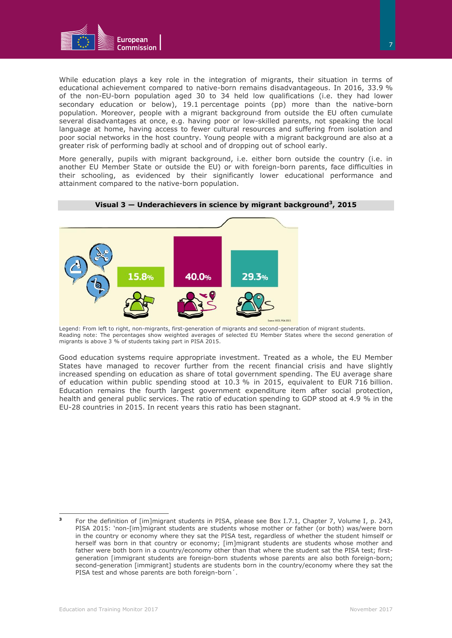![](_page_6_Picture_0.jpeg)

While education plays a key role in the integration of migrants, their situation in terms of educational achievement compared to native-born remains disadvantageous. In 2016, 33.9 % of the non-EU-born population aged 30 to 34 held low qualifications (i.e. they had lower secondary education or below), 19.1 percentage points (pp) more than the native-born population. Moreover, people with a migrant background from outside the EU often cumulate several disadvantages at once, e.g. having poor or low-skilled parents, not speaking the local language at home, having access to fewer cultural resources and suffering from isolation and poor social networks in the host country. Young people with a migrant background are also at a greater risk of performing badly at school and of dropping out of school early.

More generally, pupils with migrant background, i.e. either born outside the country (i.e. in another EU Member State or outside the EU) or with foreign-born parents, face difficulties in their schooling, as evidenced by their significantly lower educational performance and attainment compared to the native-born population.

![](_page_6_Figure_3.jpeg)

**Visual 3 — Underachievers in science by migrant background<sup>3</sup> , 2015**

Legend: From left to right, non-migrants, first-generation of migrants and second-generation of migrant students. Reading note: The percentages show weighted averages of selected EU Member States where the second generation of migrants is above 3 % of students taking part in PISA 2015.

Good education systems require appropriate investment. Treated as a whole, the EU Member States have managed to recover further from the recent financial crisis and have slightly increased spending on education as share of total government spending. The EU average share of education within public spending stood at 10.3 % in 2015, equivalent to EUR 716 billion. Education remains the fourth largest government expenditure item after social protection, health and general public services. The ratio of education spending to GDP stood at 4.9 % in the EU-28 countries in 2015. In recent years this ratio has been stagnant.

 **3** For the definition of [im]migrant students in PISA, please see Box I.7.1, Chapter 7, Volume I, p. 243, PISA 2015: 'non-[im]migrant students are students whose mother or father (or both) was/were born in the country or economy where they sat the PISA test, regardless of whether the student himself or herself was born in that country or economy; [im]migrant students are students whose mother and father were both born in a country/economy other than that where the student sat the PISA test; firstgeneration [immigrant students are foreign-born students whose parents are also both foreign-born; second-generation [immigrant] students are students born in the country/economy where they sat the PISA test and whose parents are both foreign-born´.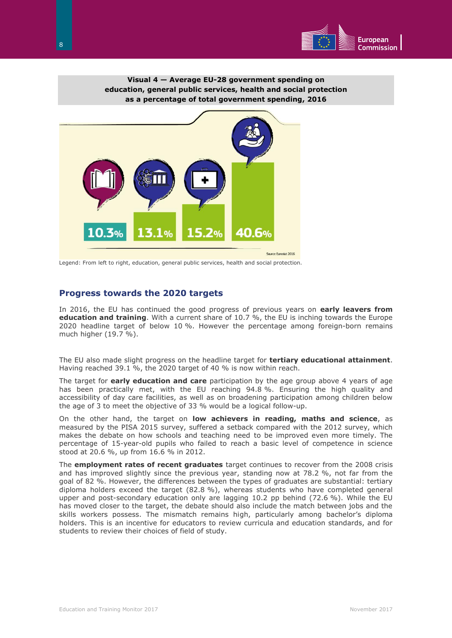![](_page_7_Picture_0.jpeg)

**Visual 4 — Average EU-28 government spending on education, general public services, health and social protection as a percentage of total government spending, 2016**

![](_page_7_Picture_2.jpeg)

Legend: From left to right, education, general public services, health and social protection.

#### **Progress towards the 2020 targets**

In 2016, the EU has continued the good progress of previous years on **early leavers from education and training**. With a current share of 10.7 %, the EU is inching towards the Europe 2020 headline target of below 10 %. However the percentage among foreign-born remains much higher (19.7 %).

The EU also made slight progress on the headline target for **tertiary educational attainment**. Having reached 39.1 %, the 2020 target of 40 % is now within reach.

The target for **early education and care** participation by the age group above 4 years of age has been practically met, with the EU reaching 94.8 %. Ensuring the high quality and accessibility of day care facilities, as well as on broadening participation among children below the age of 3 to meet the objective of 33 % would be a logical follow-up.

On the other hand, the target on **low achievers in reading, maths and science**, as measured by the PISA 2015 survey, suffered a setback compared with the 2012 survey, which makes the debate on how schools and teaching need to be improved even more timely. The percentage of 15-year-old pupils who failed to reach a basic level of competence in science stood at 20.6 %, up from 16.6 % in 2012.

The **employment rates of recent graduates** target continues to recover from the 2008 crisis and has improved slightly since the previous year, standing now at 78.2 %, not far from the goal of 82 %. However, the differences between the types of graduates are substantial: tertiary diploma holders exceed the target (82.8 %), whereas students who have completed general upper and post-secondary education only are lagging 10.2 pp behind (72.6 %). While the EU has moved closer to the target, the debate should also include the match between jobs and the skills workers possess. The mismatch remains high, particularly among bachelor's diploma holders. This is an incentive for educators to review curricula and education standards, and for students to review their choices of field of study.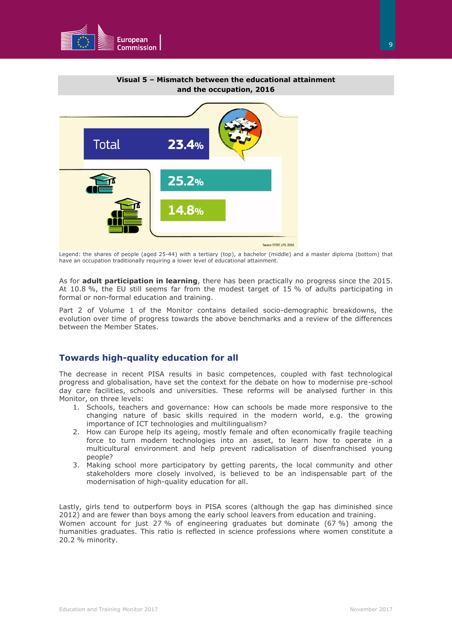![](_page_8_Picture_0.jpeg)

![](_page_8_Figure_1.jpeg)

Legend: the shares of people (aged 25-44) with a tertiary (top), a bachelor (middle) and a master diploma (bottom) that have an occupation traditionally requiring a lower level of educational attainment.

As for **adult participation in learning**, there has been practically no progress since the 2015. At 10.8 %, the EU still seems far from the modest target of 15 % of adults participating in formal or non-formal education and training.

Part 2 of Volume 1 of the Monitor contains detailed socio-demographic breakdowns, the evolution over time of progress towards the above benchmarks and a review of the differences between the Member States.

#### **Towards high-quality education for all**

The decrease in recent PISA results in basic competences, coupled with fast technological progress and globalisation, have set the context for the debate on how to modernise pre-school day care facilities, schools and universities. These reforms will be analysed further in this Monitor, on three levels:

- 1. Schools, teachers and governance: How can schools be made more responsive to the changing nature of basic skills required in the modern world, e.g. the growing importance of ICT technologies and multilingualism?
- 2. How can Europe help its ageing, mostly female and often economically fragile teaching force to turn modern technologies into an asset, to learn how to operate in a multicultural environment and help prevent radicalisation of disenfranchised young people?
- 3. Making school more participatory by getting parents, the local community and other stakeholders more closely involved, is believed to be an indispensable part of the modernisation of high-quality education for all.

Lastly, girls tend to outperform boys in PISA scores (although the gap has diminished since 2012) and are fewer than boys among the early school leavers from education and training. Women account for just 27 % of engineering graduates but dominate (67 %) among the humanities graduates. This ratio is reflected in science professions where women constitute a 20.2 % minority.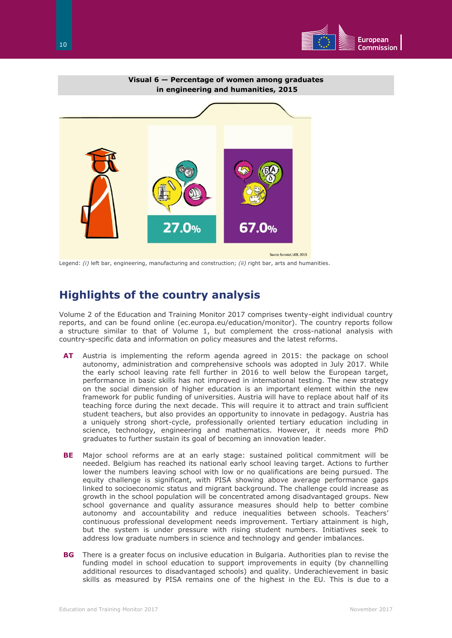![](_page_9_Picture_0.jpeg)

![](_page_9_Figure_1.jpeg)

Legend: *(i)* left bar, engineering, manufacturing and construction; *(ii)* right bar, arts and humanities.

### **Highlights of the country analysis**

Volume 2 of the Education and Training Monitor 2017 comprises twenty-eight individual country reports, and can be found online (ec.europa.eu/education/monitor). The country reports follow a structure similar to that of Volume 1, but complement the cross-national analysis with country-specific data and information on policy measures and the latest reforms.

- **AT** Austria is implementing the reform agenda agreed in 2015: the package on school autonomy, administration and comprehensive schools was adopted in July 2017. While the early school leaving rate fell further in 2016 to well below the European target, performance in basic skills has not improved in international testing. The new strategy on the social dimension of higher education is an important element within the new framework for public funding of universities. Austria will have to replace about half of its teaching force during the next decade. This will require it to attract and train sufficient student teachers, but also provides an opportunity to innovate in pedagogy. Austria has a uniquely strong short-cycle, professionally oriented tertiary education including in science, technology, engineering and mathematics. However, it needs more PhD graduates to further sustain its goal of becoming an innovation leader.
- **BE** Major school reforms are at an early stage: sustained political commitment will be needed. Belgium has reached its national early school leaving target. Actions to further lower the numbers leaving school with low or no qualifications are being pursued. The equity challenge is significant, with PISA showing above average performance gaps linked to socioeconomic status and migrant background. The challenge could increase as growth in the school population will be concentrated among disadvantaged groups. New school governance and quality assurance measures should help to better combine autonomy and accountability and reduce inequalities between schools. Teachers' continuous professional development needs improvement. Tertiary attainment is high, but the system is under pressure with rising student numbers. Initiatives seek to address low graduate numbers in science and technology and gender imbalances.
- **BG** There is a greater focus on inclusive education in Bulgaria. Authorities plan to revise the funding model in school education to support improvements in equity (by channelling additional resources to disadvantaged schools) and quality. Underachievement in basic skills as measured by PISA remains one of the highest in the EU. This is due to a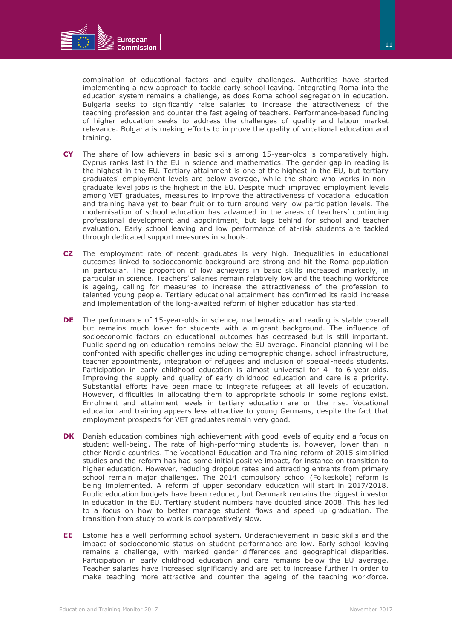![](_page_10_Picture_0.jpeg)

combination of educational factors and equity challenges. Authorities have started implementing a new approach to tackle early school leaving. Integrating Roma into the education system remains a challenge, as does Roma school segregation in education. Bulgaria seeks to significantly raise salaries to increase the attractiveness of the teaching profession and counter the fast ageing of teachers. Performance-based funding of higher education seeks to address the challenges of quality and labour market relevance. Bulgaria is making efforts to improve the quality of vocational education and training.

- **CY** The share of low achievers in basic skills among 15-year-olds is comparatively high. Cyprus ranks last in the EU in science and mathematics. The gender gap in reading is the highest in the EU. Tertiary attainment is one of the highest in the EU, but tertiary graduates' employment levels are below average, while the share who works in nongraduate level jobs is the highest in the EU. Despite much improved employment levels among VET graduates, measures to improve the attractiveness of vocational education and training have yet to bear fruit or to turn around very low participation levels. The modernisation of school education has advanced in the areas of teachers' continuing professional development and appointment, but lags behind for school and teacher evaluation. Early school leaving and low performance of at-risk students are tackled through dedicated support measures in schools.
- **CZ** The employment rate of recent graduates is very high. Inequalities in educational outcomes linked to socioeconomic background are strong and hit the Roma population in particular. The proportion of low achievers in basic skills increased markedly, in particular in science. Teachers' salaries remain relatively low and the teaching workforce is ageing, calling for measures to increase the attractiveness of the profession to talented young people. Tertiary educational attainment has confirmed its rapid increase and implementation of the long-awaited reform of higher education has started.
- **DE** The performance of 15-year-olds in science, mathematics and reading is stable overall but remains much lower for students with a migrant background. The influence of socioeconomic factors on educational outcomes has decreased but is still important. Public spending on education remains below the EU average. Financial planning will be confronted with specific challenges including demographic change, school infrastructure, teacher appointments, integration of refugees and inclusion of special-needs students. Participation in early childhood education is almost universal for 4- to 6-year-olds. Improving the supply and quality of early childhood education and care is a priority. Substantial efforts have been made to integrate refugees at all levels of education. However, difficulties in allocating them to appropriate schools in some regions exist. Enrolment and attainment levels in tertiary education are on the rise. Vocational education and training appears less attractive to young Germans, despite the fact that employment prospects for VET graduates remain very good.
- **DK** Danish education combines high achievement with good levels of equity and a focus on student well-being. The rate of high-performing students is, however, lower than in other Nordic countries. The Vocational Education and Training reform of 2015 simplified studies and the reform has had some initial positive impact, for instance on transition to higher education. However, reducing dropout rates and attracting entrants from primary school remain major challenges. The 2014 compulsory school (Folkeskole) reform is being implemented. A reform of upper secondary education will start in 2017/2018. Public education budgets have been reduced, but Denmark remains the biggest investor in education in the EU. Tertiary student numbers have doubled since 2008. This has led to a focus on how to better manage student flows and speed up graduation. The transition from study to work is comparatively slow.
- **EE** Estonia has a well performing school system. Underachievement in basic skills and the impact of socioeconomic status on student performance are low. Early school leaving remains a challenge, with marked gender differences and geographical disparities. Participation in early childhood education and care remains below the EU average. Teacher salaries have increased significantly and are set to increase further in order to make teaching more attractive and counter the ageing of the teaching workforce.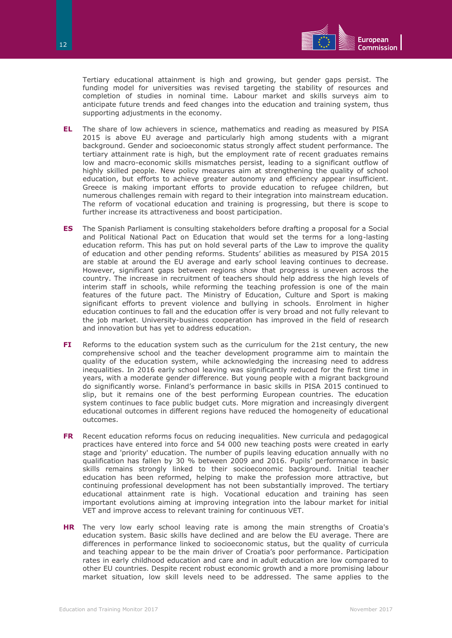![](_page_11_Picture_0.jpeg)

Tertiary educational attainment is high and growing, but gender gaps persist. The funding model for universities was revised targeting the stability of resources and completion of studies in nominal time. Labour market and skills surveys aim to anticipate future trends and feed changes into the education and training system, thus supporting adjustments in the economy.

- **EL** The share of low achievers in science, mathematics and reading as measured by PISA 2015 is above EU average and particularly high among students with a migrant background. Gender and socioeconomic status strongly affect student performance. The tertiary attainment rate is high, but the employment rate of recent graduates remains low and macro-economic skills mismatches persist, leading to a significant outflow of highly skilled people. New policy measures aim at strengthening the quality of school education, but efforts to achieve greater autonomy and efficiency appear insufficient. Greece is making important efforts to provide education to refugee children, but numerous challenges remain with regard to their integration into mainstream education. The reform of vocational education and training is progressing, but there is scope to further increase its attractiveness and boost participation.
- **ES** The Spanish Parliament is consulting stakeholders before drafting a proposal for a Social and Political National Pact on Education that would set the terms for a long-lasting education reform. This has put on hold several parts of the Law to improve the quality of education and other pending reforms. Students' abilities as measured by PISA 2015 are stable at around the EU average and early school leaving continues to decrease. However, significant gaps between regions show that progress is uneven across the country. The increase in recruitment of teachers should help address the high levels of interim staff in schools, while reforming the teaching profession is one of the main features of the future pact. The Ministry of Education, Culture and Sport is making significant efforts to prevent violence and bullying in schools. Enrolment in higher education continues to fall and the education offer is very broad and not fully relevant to the job market. University-business cooperation has improved in the field of research and innovation but has yet to address education.
- **FI** Reforms to the education system such as the curriculum for the 21st century, the new comprehensive school and the teacher development programme aim to maintain the quality of the education system, while acknowledging the increasing need to address inequalities. In 2016 early school leaving was significantly reduced for the first time in years, with a moderate gender difference. But young people with a migrant background do significantly worse. Finland's performance in basic skills in PISA 2015 continued to slip, but it remains one of the best performing European countries. The education system continues to face public budget cuts. More migration and increasingly divergent educational outcomes in different regions have reduced the homogeneity of educational outcomes.
- **FR** Recent education reforms focus on reducing inequalities. New curricula and pedagogical practices have entered into force and 54 000 new teaching posts were created in early stage and 'priority' education. The number of pupils leaving education annually with no qualification has fallen by 30 % between 2009 and 2016. Pupils' performance in basic skills remains strongly linked to their socioeconomic background. Initial teacher education has been reformed, helping to make the profession more attractive, but continuing professional development has not been substantially improved. The tertiary educational attainment rate is high. Vocational education and training has seen important evolutions aiming at improving integration into the labour market for initial VET and improve access to relevant training for continuous VET.
- **HR** The very low early school leaving rate is among the main strengths of Croatia's education system. Basic skills have declined and are below the EU average. There are differences in performance linked to socioeconomic status, but the quality of curricula and teaching appear to be the main driver of Croatia's poor performance. Participation rates in early childhood education and care and in adult education are low compared to other EU countries. Despite recent robust economic growth and a more promising labour market situation, low skill levels need to be addressed. The same applies to the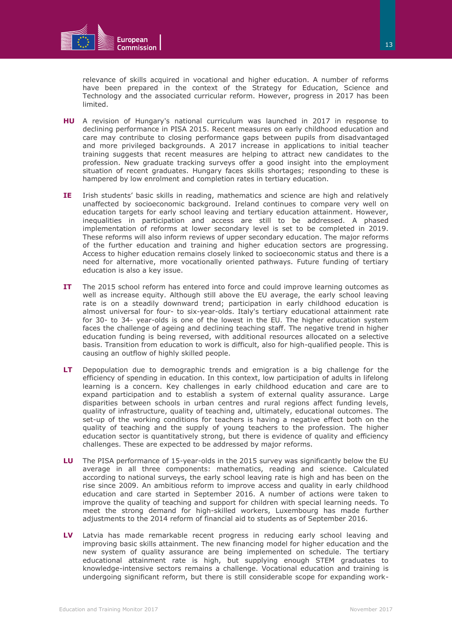![](_page_12_Picture_0.jpeg)

relevance of skills acquired in vocational and higher education. A number of reforms have been prepared in the context of the Strategy for Education, Science and Technology and the associated curricular reform. However, progress in 2017 has been limited.

- **HU** A revision of Hungary's national curriculum was launched in 2017 in response to declining performance in PISA 2015. Recent measures on early childhood education and care may contribute to closing performance gaps between pupils from disadvantaged and more privileged backgrounds. A 2017 increase in applications to initial teacher training suggests that recent measures are helping to attract new candidates to the profession. New graduate tracking surveys offer a good insight into the employment situation of recent graduates. Hungary faces skills shortages; responding to these is hampered by low enrolment and completion rates in tertiary education.
- **IE** Irish students' basic skills in reading, mathematics and science are high and relatively unaffected by socioeconomic background. Ireland continues to compare very well on education targets for early school leaving and tertiary education attainment. However, inequalities in participation and access are still to be addressed. A phased implementation of reforms at lower secondary level is set to be completed in 2019. These reforms will also inform reviews of upper secondary education. The major reforms of the further education and training and higher education sectors are progressing. Access to higher education remains closely linked to socioeconomic status and there is a need for alternative, more vocationally oriented pathways. Future funding of tertiary education is also a key issue.
- **IT** The 2015 school reform has entered into force and could improve learning outcomes as well as increase equity. Although still above the EU average, the early school leaving rate is on a steadily downward trend; participation in early childhood education is almost universal for four- to six-year-olds. Italy's tertiary educational attainment rate for 30- to 34- year-olds is one of the lowest in the EU. The higher education system faces the challenge of ageing and declining teaching staff. The negative trend in higher education funding is being reversed, with additional resources allocated on a selective basis. Transition from education to work is difficult, also for high-qualified people. This is causing an outflow of highly skilled people.
- **LT** Depopulation due to demographic trends and emigration is a big challenge for the efficiency of spending in education. In this context, low participation of adults in lifelong learning is a concern. Key challenges in early childhood education and care are to expand participation and to establish a system of external quality assurance. Large disparities between schools in urban centres and rural regions affect funding levels, quality of infrastructure, quality of teaching and, ultimately, educational outcomes. The set-up of the working conditions for teachers is having a negative effect both on the quality of teaching and the supply of young teachers to the profession. The higher education sector is quantitatively strong, but there is evidence of quality and efficiency challenges. These are expected to be addressed by major reforms.
- **LU** The PISA performance of 15-year-olds in the 2015 survey was significantly below the EU average in all three components: mathematics, reading and science. Calculated according to national surveys, the early school leaving rate is high and has been on the rise since 2009. An ambitious reform to improve access and quality in early childhood education and care started in September 2016. A number of actions were taken to improve the quality of teaching and support for children with special learning needs. To meet the strong demand for high-skilled workers, Luxembourg has made further adjustments to the 2014 reform of financial aid to students as of September 2016.
- **LV** Latvia has made remarkable recent progress in reducing early school leaving and improving basic skills attainment. The new financing model for higher education and the new system of quality assurance are being implemented on schedule. The tertiary educational attainment rate is high, but supplying enough STEM graduates to knowledge-intensive sectors remains a challenge. Vocational education and training is undergoing significant reform, but there is still considerable scope for expanding work-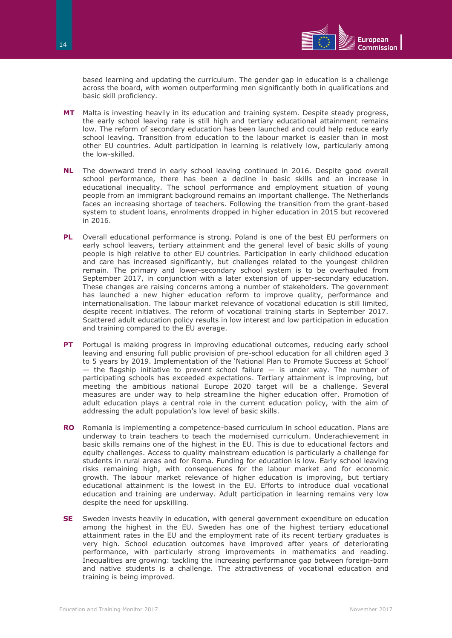![](_page_13_Picture_0.jpeg)

based learning and updating the curriculum. The gender gap in education is a challenge across the board, with women outperforming men significantly both in qualifications and basic skill proficiency.

- **MT** Malta is investing heavily in its education and training system. Despite steady progress, the early school leaving rate is still high and tertiary educational attainment remains low. The reform of secondary education has been launched and could help reduce early school leaving. Transition from education to the labour market is easier than in most other EU countries. Adult participation in learning is relatively low, particularly among the low-skilled.
- **NL** The downward trend in early school leaving continued in 2016. Despite good overall school performance, there has been a decline in basic skills and an increase in educational inequality. The school performance and employment situation of young people from an immigrant background remains an important challenge. The Netherlands faces an increasing shortage of teachers. Following the transition from the grant-based system to student loans, enrolments dropped in higher education in 2015 but recovered in 2016.
- **PL** Overall educational performance is strong. Poland is one of the best EU performers on early school leavers, tertiary attainment and the general level of basic skills of young people is high relative to other EU countries. Participation in early childhood education and care has increased significantly, but challenges related to the youngest children remain. The primary and lower-secondary school system is to be overhauled from September 2017, in conjunction with a later extension of upper-secondary education. These changes are raising concerns among a number of stakeholders. The government has launched a new higher education reform to improve quality, performance and internationalisation. The labour market relevance of vocational education is still limited, despite recent initiatives. The reform of vocational training starts in September 2017. Scattered adult education policy results in low interest and low participation in education and training compared to the EU average.
- **PT** Portugal is making progress in improving educational outcomes, reducing early school leaving and ensuring full public provision of pre-school education for all children aged 3 to 5 years by 2019. Implementation of the 'National Plan to Promote Success at School' — the flagship initiative to prevent school failure — is under way. The number of participating schools has exceeded expectations. Tertiary attainment is improving, but meeting the ambitious national Europe 2020 target will be a challenge. Several measures are under way to help streamline the higher education offer. Promotion of adult education plays a central role in the current education policy, with the aim of addressing the adult population's low level of basic skills.
- **RO** Romania is implementing a competence-based curriculum in school education. Plans are underway to train teachers to teach the modernised curriculum. Underachievement in basic skills remains one of the highest in the EU. This is due to educational factors and equity challenges. Access to quality mainstream education is particularly a challenge for students in rural areas and for Roma. Funding for education is low. Early school leaving risks remaining high, with consequences for the labour market and for economic growth. The labour market relevance of higher education is improving, but tertiary educational attainment is the lowest in the EU. Efforts to introduce dual vocational education and training are underway. Adult participation in learning remains very low despite the need for upskilling.
- **SE** Sweden invests heavily in education, with general government expenditure on education among the highest in the EU. Sweden has one of the highest tertiary educational attainment rates in the EU and the employment rate of its recent tertiary graduates is very high. School education outcomes have improved after years of deteriorating performance, with particularly strong improvements in mathematics and reading. Inequalities are growing: tackling the increasing performance gap between foreign-born and native students is a challenge. The attractiveness of vocational education and training is being improved.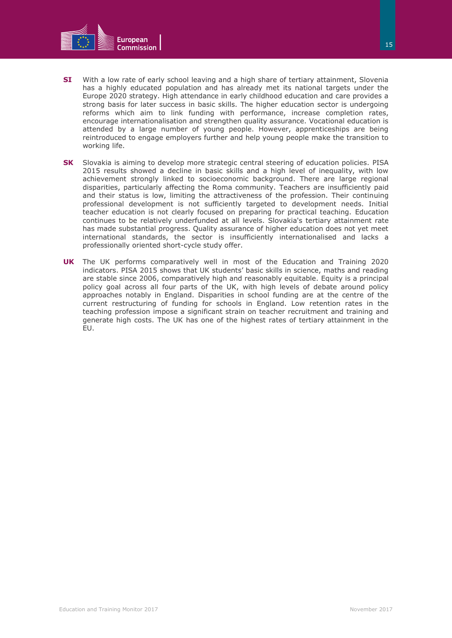![](_page_14_Picture_0.jpeg)

- **SI** With a low rate of early school leaving and a high share of tertiary attainment, Slovenia has a highly educated population and has already met its national targets under the Europe 2020 strategy. High attendance in early childhood education and care provides a strong basis for later success in basic skills. The higher education sector is undergoing reforms which aim to link funding with performance, increase completion rates, encourage internationalisation and strengthen quality assurance. Vocational education is attended by a large number of young people. However, apprenticeships are being reintroduced to engage employers further and help young people make the transition to working life.
- **SK** Slovakia is aiming to develop more strategic central steering of education policies. PISA 2015 results showed a decline in basic skills and a high level of inequality, with low achievement strongly linked to socioeconomic background. There are large regional disparities, particularly affecting the Roma community. Teachers are insufficiently paid and their status is low, limiting the attractiveness of the profession. Their continuing professional development is not sufficiently targeted to development needs. Initial teacher education is not clearly focused on preparing for practical teaching. Education continues to be relatively underfunded at all levels. Slovakia's tertiary attainment rate has made substantial progress. Quality assurance of higher education does not yet meet international standards, the sector is insufficiently internationalised and lacks a professionally oriented short-cycle study offer.
- **UK** The UK performs comparatively well in most of the Education and Training 2020 indicators. PISA 2015 shows that UK students' basic skills in science, maths and reading are stable since 2006, comparatively high and reasonably equitable. Equity is a principal policy goal across all four parts of the UK, with high levels of debate around policy approaches notably in England. Disparities in school funding are at the centre of the current restructuring of funding for schools in England. Low retention rates in the teaching profession impose a significant strain on teacher recruitment and training and generate high costs. The UK has one of the highest rates of tertiary attainment in the EU.